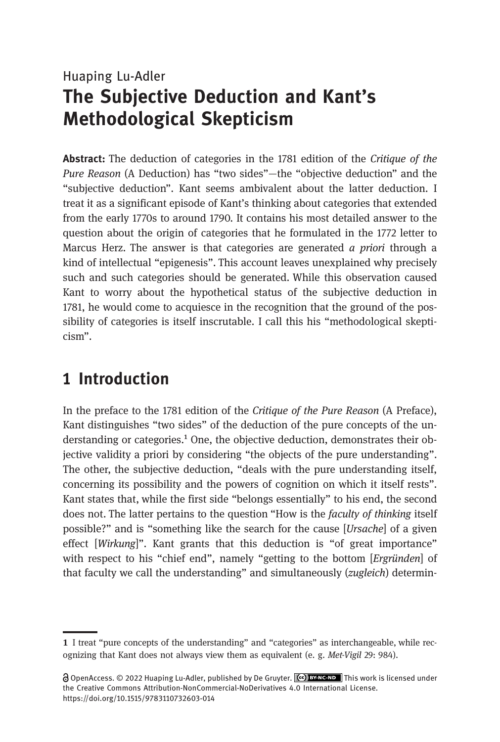# <span id="page-0-0"></span>Huaping Lu-Adler The Subjective Deduction and Kant's Methodological Skepticism

Abstract: The deduction of categories in the 1781 edition of the Critique of the Pure Reason (A Deduction) has "two sides"—the "objective deduction" and the "subjective deduction". Kant seems ambivalent about the latter deduction. I treat it as a significant episode of Kant's thinking about categories that extended from the early 1770s to around 1790. It contains his most detailed answer to the question about the origin of categories that he formulated in the 1772 letter to Marcus Herz. The answer is that categories are generated  $a$  priori through a kind of intellectual "epigenesis". This account leaves unexplained why precisely such and such categories should be generated. While this observation caused Kant to worry about the hypothetical status of the subjective deduction in 1781, he would come to acquiesce in the recognition that the ground of the possibility of categories is itself inscrutable. I call this his "methodological skepticism".

### 1 Introduction

In the preface to the 1781 edition of the Critique of the Pure Reason (A Preface), Kant distinguishes "two sides" of the deduction of the pure concepts of the understanding or categories.<sup>1</sup> One, the objective deduction, demonstrates their objective validity a priori by considering "the objects of the pure understanding". The other, the subjective deduction, "deals with the pure understanding itself, concerning its possibility and the powers of cognition on which it itself rests". Kant states that, while the first side "belongs essentially" to his end, the second does not. The latter pertains to the question "How is the faculty of thinking itself possible?" and is "something like the search for the cause [Ursache] of a given effect [Wirkung]". Kant grants that this deduction is "of great importance" with respect to his "chief end", namely "getting to the bottom [Ergründen] of that faculty we call the understanding" and simultaneously (zugleich) determin-

<sup>1</sup> I treat "pure concepts of the understanding" and "categories" as interchangeable, while recognizing that Kant does not always view them as equivalent (e. g. Met-Vigil 29: 984).

OpenAccess. © 2022 Huaping Lu-Adler, published by De Gruyter. This work is licensed under the Creative Commons Attribution-NonCommercial-NoDerivatives 4.0 International License. https://doi.org/10.1515/9783110732603-014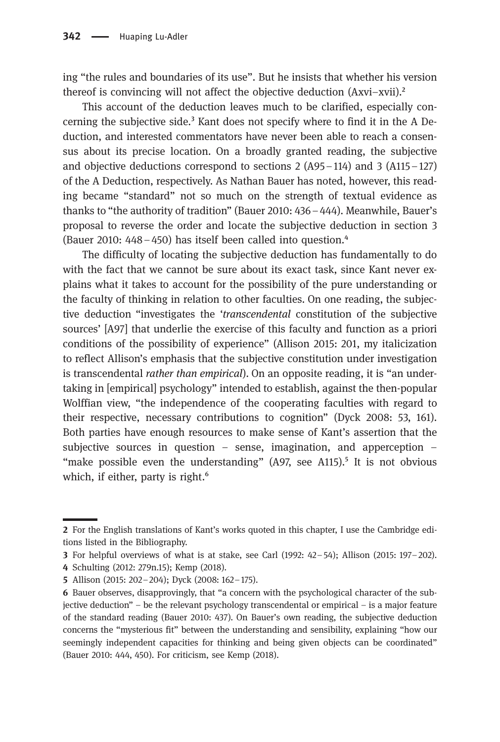ing "the rules and boundaries of its use". But he insists that whether his version thereof is convincing will not affect the objective deduction (Axvi–xvii).²

This account of the deduction leaves much to be clarified, especially concerning the subjective side. $3$  Kant does not specify where to find it in the A Deduction, and interested commentators have never been able to reach a consensus about its precise location. On a broadly granted reading, the subjective and objective deductions correspond to sections  $2 (A95-114)$  and  $3 (A115-127)$ of the A Deduction, respectively. As Nathan Bauer has noted, however, this reading became "standard" not so much on the strength of textual evidence as thanks to "the authority of tradition" (Bauer 2010: 436–444). Meanwhile, Bauer's proposal to reverse the order and locate the subjective deduction in section 3 (Bauer 2010:  $448 - 450$ ) has itself been called into question. $4$ 

The difficulty of locating the subjective deduction has fundamentally to do with the fact that we cannot be sure about its exact task, since Kant never explains what it takes to account for the possibility of the pure understanding or the faculty of thinking in relation to other faculties. On one reading, the subjective deduction "investigates the 'transcendental constitution of the subjective sources' [A97] that underlie the exercise of this faculty and function as a priori conditions of the possibility of experience" (Allison 2015: 201, my italicization to reflect Allison's emphasis that the subjective constitution under investigation is transcendental *rather than empirical*). On an opposite reading, it is "an undertaking in [empirical] psychology" intended to establish, against the then-popular Wolffian view, "the independence of the cooperating faculties with regard to their respective, necessary contributions to cognition" (Dyck 2008: 53, 161). Both parties have enough resources to make sense of Kant's assertion that the subjective sources in question – sense, imagination, and apperception – "make possible even the understanding"  $(A97, \text{ see } A115)$ .<sup>5</sup> It is not obvious which, if either, party is right.<sup>6</sup>

<sup>2</sup> For the English translations of Kant's works quoted in this chapter, I use the Cambridge editions listed in the Bibliography.

**<sup>3</sup>** For helpful overviews of what is at stake, see Carl  $(1992: 42-54)$ ; Allison  $(2015: 197-202)$ .

Schulting (2012: 279n.15); Kemp (2018).

Allison (2015: 202–204); Dyck (2008: 162–175).

Bauer observes, disapprovingly, that "a concern with the psychological character of the subjective deduction" – be the relevant psychology transcendental or empirical – is a major feature of the standard reading (Bauer 2010: 437). On Bauer's own reading, the subjective deduction concerns the "mysterious fit" between the understanding and sensibility, explaining "how our seemingly independent capacities for thinking and being given objects can be coordinated" (Bauer 2010: 444, 450). For criticism, see Kemp (2018).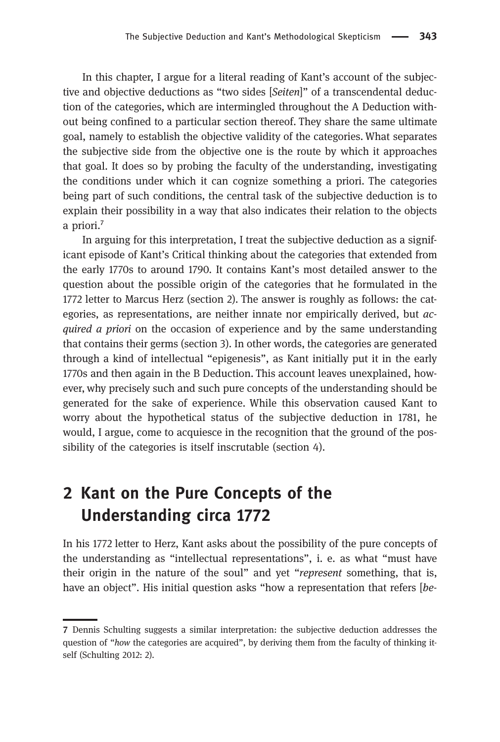In this chapter, I argue for a literal reading of Kant's account of the subjective and objective deductions as "two sides [Seiten]" of a transcendental deduction of the categories, which are intermingled throughout the A Deduction without being confined to a particular section thereof. They share the same ultimate goal, namely to establish the objective validity of the categories. What separates the subjective side from the objective one is the route by which it approaches that goal. It does so by probing the faculty of the understanding, investigating the conditions under which it can cognize something a priori. The categories being part of such conditions, the central task of the subjective deduction is to explain their possibility in a way that also indicates their relation to the objects a priori.<sup>7</sup>

In arguing for this interpretation, I treat the subjective deduction as a significant episode of Kant's Critical thinking about the categories that extended from the early 1770s to around 1790. It contains Kant's most detailed answer to the question about the possible origin of the categories that he formulated in the 1772 letter to Marcus Herz (section 2). The answer is roughly as follows: the categories, as representations, are neither innate nor empirically derived, but  $ac$ quired a priori on the occasion of experience and by the same understanding that contains their germs (section 3). In other words, the categories are generated through a kind of intellectual "epigenesis", as Kant initially put it in the early 1770s and then again in the B Deduction. This account leaves unexplained, however, why precisely such and such pure concepts of the understanding should be generated for the sake of experience. While this observation caused Kant to worry about the hypothetical status of the subjective deduction in 1781, he would, I argue, come to acquiesce in the recognition that the ground of the possibility of the categories is itself inscrutable (section 4).

### [2 Kant on the Pure Concepts of the](#page-0-0) [Understanding circa 1772](#page-0-0)

In his 1772 letter to Herz, Kant asks about the possibility of the pure concepts of the understanding as "intellectual representations", i. e. as what "must have their origin in the nature of the soul" and yet "represent something, that is, have an object". His initial question asks "how a representation that refers [be-

Dennis Schulting suggests a similar interpretation: the subjective deduction addresses the question of "how the categories are acquired", by deriving them from the faculty of thinking itself (Schulting 2012: 2).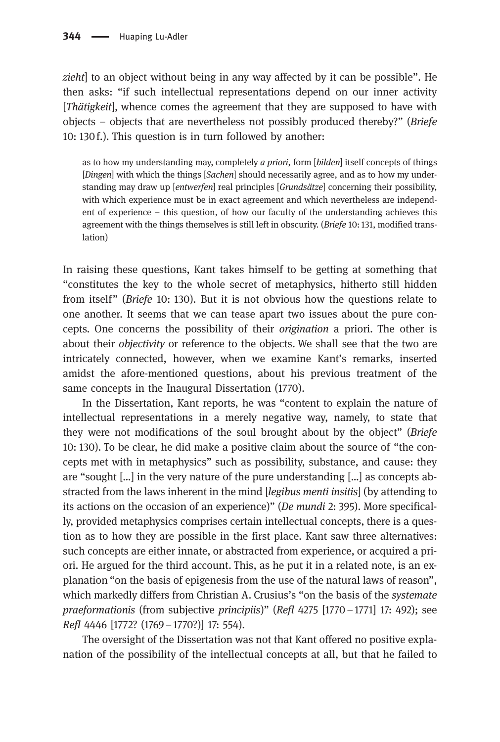zieht] to an object without being in any way affected by it can be possible". He then asks: "if such intellectual representations depend on our inner activity [Thätigkeit], whence comes the agreement that they are supposed to have with objects – objects that are nevertheless not possibly produced thereby?" (Briefe 10: 130 f.). This question is in turn followed by another:

as to how my understanding may, completely a priori, form [bilden] itself concepts of things [Dingen] with which the things [Sachen] should necessarily agree, and as to how my understanding may draw up [entwerfen] real principles [Grundsätze] concerning their possibility, with which experience must be in exact agreement and which nevertheless are independent of experience – this question, of how our faculty of the understanding achieves this agreement with the things themselves is still left in obscurity. (Briefe 10: 131, modified translation)

In raising these questions, Kant takes himself to be getting at something that "constitutes the key to the whole secret of metaphysics, hitherto still hidden from itself" (Briefe 10: 130). But it is not obvious how the questions relate to one another. It seems that we can tease apart two issues about the pure concepts. One concerns the possibility of their origination a priori. The other is about their *objectivity* or reference to the objects. We shall see that the two are intricately connected, however, when we examine Kant's remarks, inserted amidst the afore-mentioned questions, about his previous treatment of the same concepts in the Inaugural Dissertation (1770).

In the Dissertation, Kant reports, he was "content to explain the nature of intellectual representations in a merely negative way, namely, to state that they were not modifications of the soul brought about by the object" (Briefe 10: 130). To be clear, he did make a positive claim about the source of "the concepts met with in metaphysics" such as possibility, substance, and cause: they are "sought […] in the very nature of the pure understanding […] as concepts abstracted from the laws inherent in the mind [legibus menti insitis] (by attending to its actions on the occasion of an experience)" (De mundi 2: 395). More specifically, provided metaphysics comprises certain intellectual concepts, there is a question as to how they are possible in the first place. Kant saw three alternatives: such concepts are either innate, or abstracted from experience, or acquired a priori. He argued for the third account. This, as he put it in a related note, is an explanation "on the basis of epigenesis from the use of the natural laws of reason", which markedly differs from Christian A. Crusius's "on the basis of the *systemate* praeformationis (from subjective principiis)" (Refl 4275 [1770–1771] 17: 492); see Refl 4446 [1772? (1769–1770?)] 17: 554).

The oversight of the Dissertation was not that Kant offered no positive explanation of the possibility of the intellectual concepts at all, but that he failed to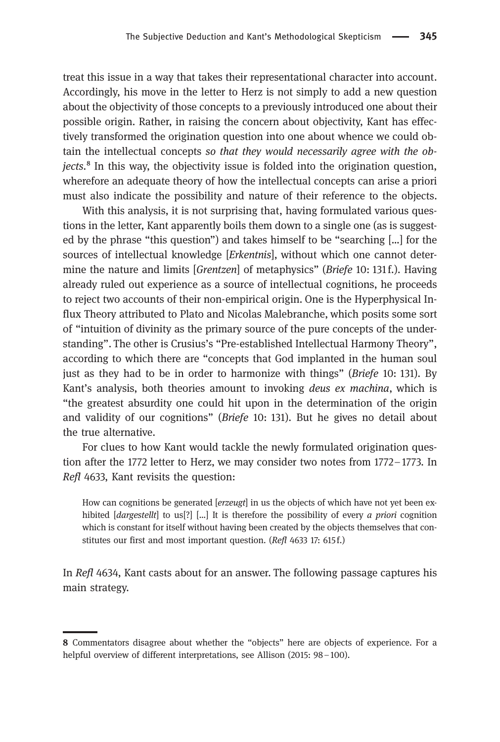treat this issue in a way that takes their representational character into account. Accordingly, his move in the letter to Herz is not simply to add a new question about the objectivity of those concepts to a previously introduced one about their possible origin. Rather, in raising the concern about objectivity, Kant has effectively transformed the origination question into one about whence we could obtain the intellectual concepts so that they would necessarily agree with the ob $jects<sup>8</sup>$  In this way, the objectivity issue is folded into the origination question, wherefore an adequate theory of how the intellectual concepts can arise a priori must also indicate the possibility and nature of their reference to the objects.

With this analysis, it is not surprising that, having formulated various questions in the letter, Kant apparently boils them down to a single one (as is suggested by the phrase "this question") and takes himself to be "searching […] for the sources of intellectual knowledge [Erkentnis], without which one cannot determine the nature and limits [*Grentzen*] of metaphysics" (*Briefe* 10: 131f.). Having already ruled out experience as a source of intellectual cognitions, he proceeds to reject two accounts of their non-empirical origin. One is the Hyperphysical Influx Theory attributed to Plato and Nicolas Malebranche, which posits some sort of "intuition of divinity as the primary source of the pure concepts of the understanding". The other is Crusius's "Pre-established Intellectual Harmony Theory", according to which there are "concepts that God implanted in the human soul just as they had to be in order to harmonize with things" (Briefe 10: 131). By Kant's analysis, both theories amount to invoking deus ex machina, which is "the greatest absurdity one could hit upon in the determination of the origin and validity of our cognitions" (Briefe 10: 131). But he gives no detail about the true alternative.

For clues to how Kant would tackle the newly formulated origination question after the 1772 letter to Herz, we may consider two notes from 1772–1773. In Refl 4633, Kant revisits the question:

How can cognitions be generated [erzeugt] in us the objects of which have not yet been exhibited  $[dargestellt]$  to us[?]  $[...]$  It is therefore the possibility of every *a priori* cognition which is constant for itself without having been created by the objects themselves that constitutes our first and most important question. (Refl 4633 17: 615 f.)

In Refl 4634, Kant casts about for an answer. The following passage captures his main strategy.

<sup>8</sup> Commentators disagree about whether the "objects" here are objects of experience. For a helpful overview of different interpretations, see Allison (2015: 98 – 100).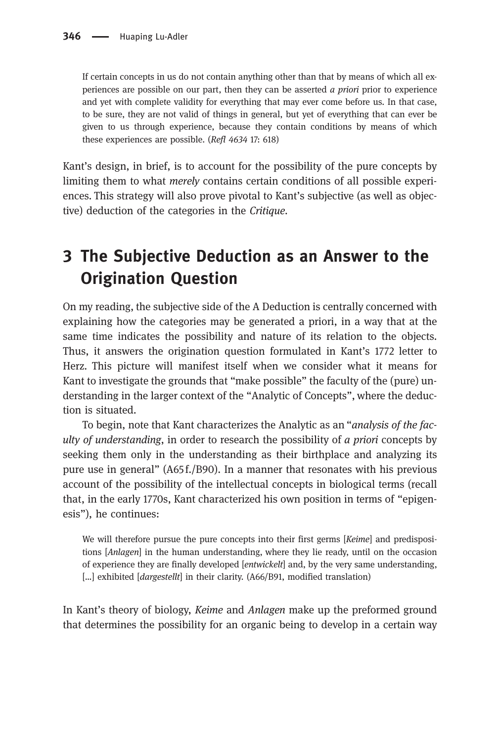If certain concepts in us do not contain anything other than that by means of which all experiences are possible on our part, then they can be asserted  $\alpha$  priori prior to experience and yet with complete validity for everything that may ever come before us. In that case, to be sure, they are not valid of things in general, but yet of everything that can ever be given to us through experience, because they contain conditions by means of which these experiences are possible. (Refl 4634 17: 618)

Kant's design, in brief, is to account for the possibility of the pure concepts by limiting them to what merely contains certain conditions of all possible experiences. This strategy will also prove pivotal to Kant's subjective (as well as objective) deduction of the categories in the Critique.

# [3 The Subjective Deduction as an Answer to the](#page-0-0) [Origination Question](#page-0-0)

On my reading, the subjective side of the A Deduction is centrally concerned with explaining how the categories may be generated a priori, in a way that at the same time indicates the possibility and nature of its relation to the objects. Thus, it answers the origination question formulated in Kant's 1772 letter to Herz. This picture will manifest itself when we consider what it means for Kant to investigate the grounds that "make possible" the faculty of the (pure) understanding in the larger context of the "Analytic of Concepts", where the deduction is situated.

To begin, note that Kant characterizes the Analytic as an "analysis of the faculty of understanding, in order to research the possibility of  $a$  priori concepts by seeking them only in the understanding as their birthplace and analyzing its pure use in general" (A65 f./B90). In a manner that resonates with his previous account of the possibility of the intellectual concepts in biological terms (recall that, in the early 1770s, Kant characterized his own position in terms of "epigenesis"), he continues:

We will therefore pursue the pure concepts into their first germs [Keime] and predispositions [Anlagen] in the human understanding, where they lie ready, until on the occasion of experience they are finally developed [entwickelt] and, by the very same understanding, [...] exhibited [*dargestellt*] in their clarity. (A66/B91, modified translation)

In Kant's theory of biology, Keime and Anlagen make up the preformed ground that determines the possibility for an organic being to develop in a certain way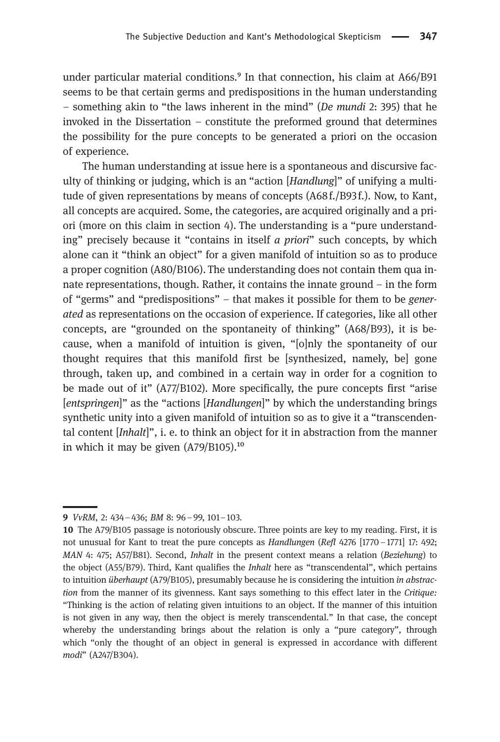under particular material conditions.<sup>9</sup> In that connection, his claim at A66/B91 seems to be that certain germs and predispositions in the human understanding – something akin to "the laws inherent in the mind" (De mundi 2: 395) that he invoked in the Dissertation – constitute the preformed ground that determines the possibility for the pure concepts to be generated a priori on the occasion of experience.

The human understanding at issue here is a spontaneous and discursive faculty of thinking or judging, which is an "action [Handlung]" of unifying a multitude of given representations by means of concepts (A68 f./B93 f.). Now, to Kant, all concepts are acquired. Some, the categories, are acquired originally and a priori (more on this claim in section 4). The understanding is a "pure understanding" precisely because it "contains in itself *a priori*" such concepts, by which alone can it "think an object" for a given manifold of intuition so as to produce a proper cognition (A80/B106). The understanding does not contain them qua innate representations, though. Rather, it contains the innate ground – in the form of "germs" and "predispositions" – that makes it possible for them to be generated as representations on the occasion of experience. If categories, like all other concepts, are "grounded on the spontaneity of thinking" (A68/B93), it is because, when a manifold of intuition is given, "[o]nly the spontaneity of our thought requires that this manifold first be [synthesized, namely, be] gone through, taken up, and combined in a certain way in order for a cognition to be made out of it" (A77/B102). More specifically, the pure concepts first "arise [entspringen]" as the "actions [Handlungen]" by which the understanding brings synthetic unity into a given manifold of intuition so as to give it a "transcendental content [Inhalt]", i. e. to think an object for it in abstraction from the manner in which it may be given  $(A79/B105).^{10}$ 

VvRM, 2: 434–436; BM 8: 96–99, 101–103.

<sup>10</sup> The A79/B105 passage is notoriously obscure. Three points are key to my reading. First, it is not unusual for Kant to treat the pure concepts as Handlungen (Refl 4276 [1770–1771] 17: 492; MAN 4: 475; A57/B81). Second, Inhalt in the present context means a relation (Beziehung) to the object (A55/B79). Third, Kant qualifies the *Inhalt* here as "transcendental", which pertains to intuition *überhaupt* (A79/B105), presumably because he is considering the intuition in abstraction from the manner of its givenness. Kant says something to this effect later in the Critique: "Thinking is the action of relating given intuitions to an object. If the manner of this intuition is not given in any way, then the object is merely transcendental." In that case, the concept whereby the understanding brings about the relation is only a "pure category", through which "only the thought of an object in general is expressed in accordance with different modi" (A247/B304).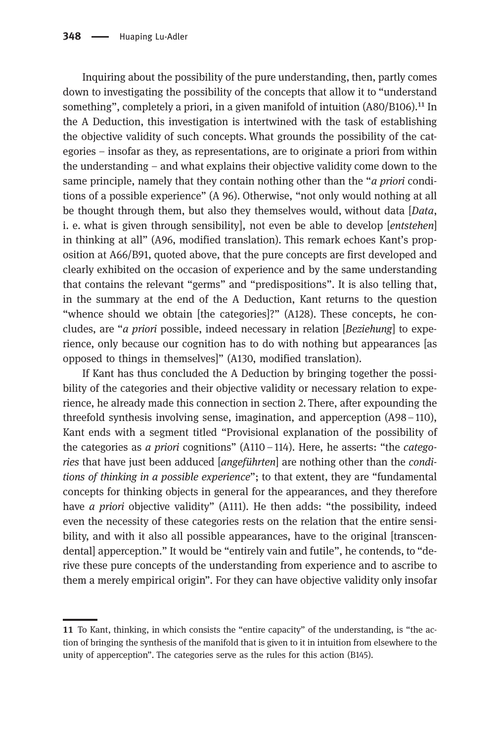Inquiring about the possibility of the pure understanding, then, partly comes down to investigating the possibility of the concepts that allow it to "understand something", completely a priori, in a given manifold of intuition  $(A80/B106).$ <sup>11</sup> In the A Deduction, this investigation is intertwined with the task of establishing the objective validity of such concepts. What grounds the possibility of the categories – insofar as they, as representations, are to originate a priori from within the understanding – and what explains their objective validity come down to the same principle, namely that they contain nothing other than the "*a priori* conditions of a possible experience" (A 96). Otherwise, "not only would nothing at all be thought through them, but also they themselves would, without data [Data, i. e. what is given through sensibility, not even be able to develop [*entstehen*] in thinking at all" (A96, modified translation). This remark echoes Kant's proposition at A66/B91, quoted above, that the pure concepts are first developed and clearly exhibited on the occasion of experience and by the same understanding that contains the relevant "germs" and "predispositions". It is also telling that, in the summary at the end of the A Deduction, Kant returns to the question "whence should we obtain [the categories]?" (A128). These concepts, he concludes, are "*a priori* possible, indeed necessary in relation  $\sqrt{Beziehung}$  to experience, only because our cognition has to do with nothing but appearances [as opposed to things in themselves]" (A130, modified translation).

If Kant has thus concluded the A Deduction by bringing together the possibility of the categories and their objective validity or necessary relation to experience, he already made this connection in section 2. There, after expounding the threefold synthesis involving sense, imagination, and apperception (A98–110), Kant ends with a segment titled "Provisional explanation of the possibility of the categories as a priori cognitions" (A110 – 114). Here, he asserts: "the *catego*ries that have just been adduced [angeführten] are nothing other than the conditions of thinking in a possible experience"; to that extent, they are "fundamental concepts for thinking objects in general for the appearances, and they therefore have *a priori* objective validity" (A111). He then adds: "the possibility, indeed even the necessity of these categories rests on the relation that the entire sensibility, and with it also all possible appearances, have to the original [transcendental] apperception." It would be "entirely vain and futile", he contends, to "derive these pure concepts of the understanding from experience and to ascribe to them a merely empirical origin". For they can have objective validity only insofar

To Kant, thinking, in which consists the "entire capacity" of the understanding, is "the action of bringing the synthesis of the manifold that is given to it in intuition from elsewhere to the unity of apperception". The categories serve as the rules for this action (B145).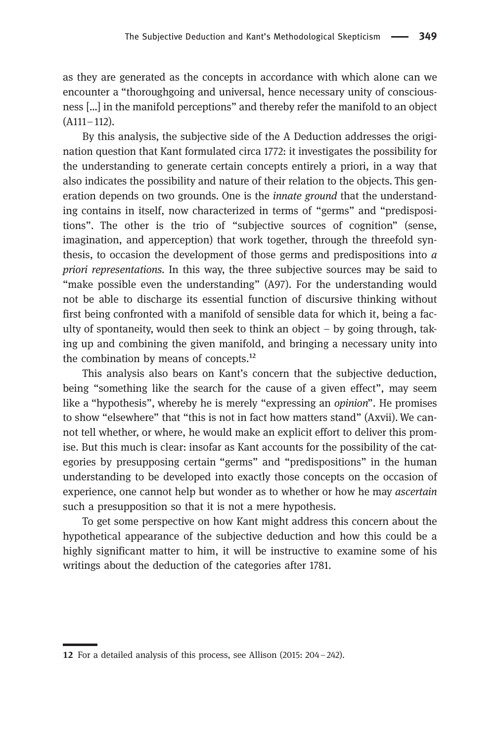as they are generated as the concepts in accordance with which alone can we encounter a "thoroughgoing and universal, hence necessary unity of consciousness […] in the manifold perceptions" and thereby refer the manifold to an object (A111–112).

By this analysis, the subjective side of the A Deduction addresses the origination question that Kant formulated circa 1772: it investigates the possibility for the understanding to generate certain concepts entirely a priori, in a way that also indicates the possibility and nature of their relation to the objects. This generation depends on two grounds. One is the innate ground that the understanding contains in itself, now characterized in terms of "germs" and "predispositions". The other is the trio of "subjective sources of cognition" (sense, imagination, and apperception) that work together, through the threefold synthesis, to occasion the development of those germs and predispositions into  $a$ priori representations. In this way, the three subjective sources may be said to "make possible even the understanding" (A97). For the understanding would not be able to discharge its essential function of discursive thinking without first being confronted with a manifold of sensible data for which it, being a faculty of spontaneity, would then seek to think an object  $-$  by going through, taking up and combining the given manifold, and bringing a necessary unity into the combination by means of concepts. $^{12}$ 

This analysis also bears on Kant's concern that the subjective deduction, being "something like the search for the cause of a given effect", may seem like a "hypothesis", whereby he is merely "expressing an opinion". He promises to show "elsewhere" that "this is not in fact how matters stand" (Axvii). We cannot tell whether, or where, he would make an explicit effort to deliver this promise. But this much is clear: insofar as Kant accounts for the possibility of the categories by presupposing certain "germs" and "predispositions" in the human understanding to be developed into exactly those concepts on the occasion of experience, one cannot help but wonder as to whether or how he may *ascertain* such a presupposition so that it is not a mere hypothesis.

To get some perspective on how Kant might address this concern about the hypothetical appearance of the subjective deduction and how this could be a highly significant matter to him, it will be instructive to examine some of his writings about the deduction of the categories after 1781.

<sup>12</sup> For a detailed analysis of this process, see Allison (2015: 204 – 242).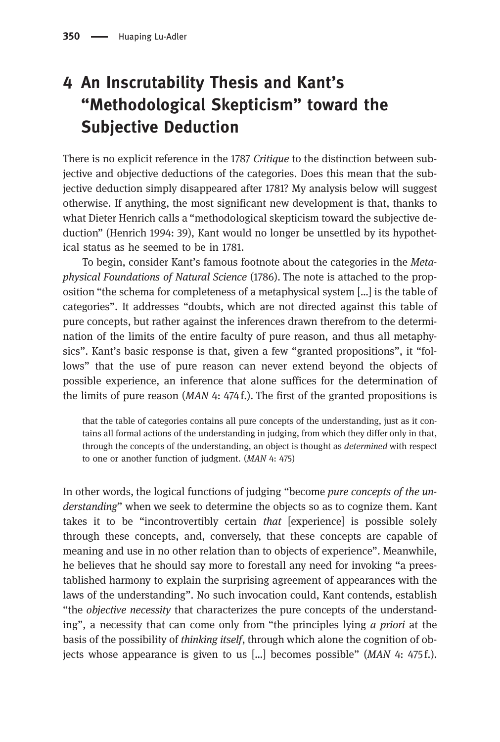# [4 An Inscrutability Thesis and Kant](#page-0-0)'s "[Methodological Skepticism](#page-0-0)" toward the [Subjective Deduction](#page-0-0)

There is no explicit reference in the 1787 Critique to the distinction between subjective and objective deductions of the categories. Does this mean that the subjective deduction simply disappeared after 1781? My analysis below will suggest otherwise. If anything, the most significant new development is that, thanks to what Dieter Henrich calls a "methodological skepticism toward the subjective deduction" (Henrich 1994: 39), Kant would no longer be unsettled by its hypothetical status as he seemed to be in 1781.

To begin, consider Kant's famous footnote about the categories in the Metaphysical Foundations of Natural Science (1786). The note is attached to the proposition "the schema for completeness of a metaphysical system […] is the table of categories". It addresses "doubts, which are not directed against this table of pure concepts, but rather against the inferences drawn therefrom to the determination of the limits of the entire faculty of pure reason, and thus all metaphysics". Kant's basic response is that, given a few "granted propositions", it "follows" that the use of pure reason can never extend beyond the objects of possible experience, an inference that alone suffices for the determination of the limits of pure reason  $(MAN 4: 474 f)$ . The first of the granted propositions is

that the table of categories contains all pure concepts of the understanding, just as it contains all formal actions of the understanding in judging, from which they differ only in that, through the concepts of the understanding, an object is thought as determined with respect to one or another function of judgment. (MAN 4: 475)

In other words, the logical functions of judging "become pure concepts of the understanding" when we seek to determine the objects so as to cognize them. Kant takes it to be "incontrovertibly certain that [experience] is possible solely through these concepts, and, conversely, that these concepts are capable of meaning and use in no other relation than to objects of experience". Meanwhile, he believes that he should say more to forestall any need for invoking "a preestablished harmony to explain the surprising agreement of appearances with the laws of the understanding". No such invocation could, Kant contends, establish "the objective necessity that characterizes the pure concepts of the understanding", a necessity that can come only from "the principles lying a priori at the basis of the possibility of thinking itself, through which alone the cognition of objects whose appearance is given to us  $\lbrack \ldots \rbrack$  becomes possible" (*MAN* 4: 475 f.).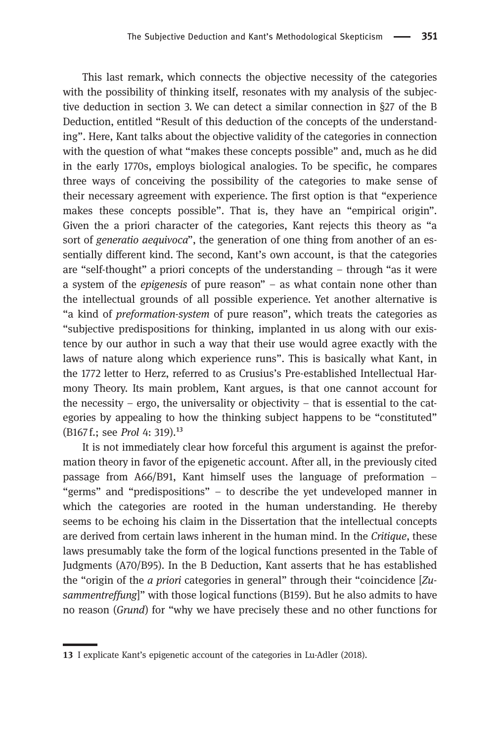This last remark, which connects the objective necessity of the categories with the possibility of thinking itself, resonates with my analysis of the subjective deduction in section 3. We can detect a similar connection in §27 of the B Deduction, entitled "Result of this deduction of the concepts of the understanding". Here, Kant talks about the objective validity of the categories in connection with the question of what "makes these concepts possible" and, much as he did in the early 1770s, employs biological analogies. To be specific, he compares three ways of conceiving the possibility of the categories to make sense of their necessary agreement with experience. The first option is that "experience makes these concepts possible". That is, they have an "empirical origin". Given the a priori character of the categories, Kant rejects this theory as "a sort of *generatio aequivoca*", the generation of one thing from another of an essentially different kind. The second, Kant's own account, is that the categories are "self-thought" a priori concepts of the understanding – through "as it were a system of the epigenesis of pure reason" – as what contain none other than the intellectual grounds of all possible experience. Yet another alternative is "a kind of preformation-system of pure reason", which treats the categories as "subjective predispositions for thinking, implanted in us along with our existence by our author in such a way that their use would agree exactly with the laws of nature along which experience runs". This is basically what Kant, in the 1772 letter to Herz, referred to as Crusius's Pre-established Intellectual Harmony Theory. Its main problem, Kant argues, is that one cannot account for the necessity – ergo, the universality or objectivity – that is essential to the categories by appealing to how the thinking subject happens to be "constituted"  $(B167f.:$  see *Prol* 4: 319).<sup>13</sup>

It is not immediately clear how forceful this argument is against the preformation theory in favor of the epigenetic account. After all, in the previously cited passage from A66/B91, Kant himself uses the language of preformation – "germs" and "predispositions" – to describe the yet undeveloped manner in which the categories are rooted in the human understanding. He thereby seems to be echoing his claim in the Dissertation that the intellectual concepts are derived from certain laws inherent in the human mind. In the Critique, these laws presumably take the form of the logical functions presented in the Table of Judgments (A70/B95). In the B Deduction, Kant asserts that he has established the "origin of the a priori categories in general" through their "coincidence [Zusammentreffung]" with those logical functions (B159). But he also admits to have no reason (Grund) for "why we have precisely these and no other functions for

<sup>13</sup> I explicate Kant's epigenetic account of the categories in Lu-Adler (2018).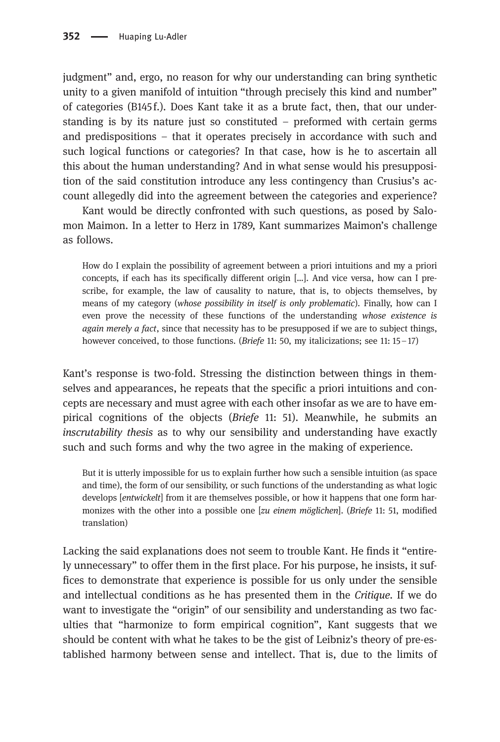judgment" and, ergo, no reason for why our understanding can bring synthetic unity to a given manifold of intuition "through precisely this kind and number" of categories (B145 f.). Does Kant take it as a brute fact, then, that our understanding is by its nature just so constituted – preformed with certain germs and predispositions – that it operates precisely in accordance with such and such logical functions or categories? In that case, how is he to ascertain all this about the human understanding? And in what sense would his presupposition of the said constitution introduce any less contingency than Crusius's account allegedly did into the agreement between the categories and experience?

Kant would be directly confronted with such questions, as posed by Salomon Maimon. In a letter to Herz in 1789, Kant summarizes Maimon's challenge as follows.

How do I explain the possibility of agreement between a priori intuitions and my a priori concepts, if each has its specifically different origin […]. And vice versa, how can I prescribe, for example, the law of causality to nature, that is, to objects themselves, by means of my category (whose possibility in itself is only problematic). Finally, how can I even prove the necessity of these functions of the understanding whose existence is again merely a fact, since that necessity has to be presupposed if we are to subject things, however conceived, to those functions. (*Briefe* 11: 50, my italicizations; see 11:  $15-17$ )

Kant's response is two-fold. Stressing the distinction between things in themselves and appearances, he repeats that the specific a priori intuitions and concepts are necessary and must agree with each other insofar as we are to have empirical cognitions of the objects (Briefe 11: 51). Meanwhile, he submits an inscrutability thesis as to why our sensibility and understanding have exactly such and such forms and why the two agree in the making of experience.

But it is utterly impossible for us to explain further how such a sensible intuition (as space and time), the form of our sensibility, or such functions of the understanding as what logic develops [entwickelt] from it are themselves possible, or how it happens that one form harmonizes with the other into a possible one [zu einem möglichen]. (Briefe 11: 51, modified translation)

Lacking the said explanations does not seem to trouble Kant. He finds it "entirely unnecessary" to offer them in the first place. For his purpose, he insists, it suffices to demonstrate that experience is possible for us only under the sensible and intellectual conditions as he has presented them in the Critique. If we do want to investigate the "origin" of our sensibility and understanding as two faculties that "harmonize to form empirical cognition", Kant suggests that we should be content with what he takes to be the gist of Leibniz's theory of pre-established harmony between sense and intellect. That is, due to the limits of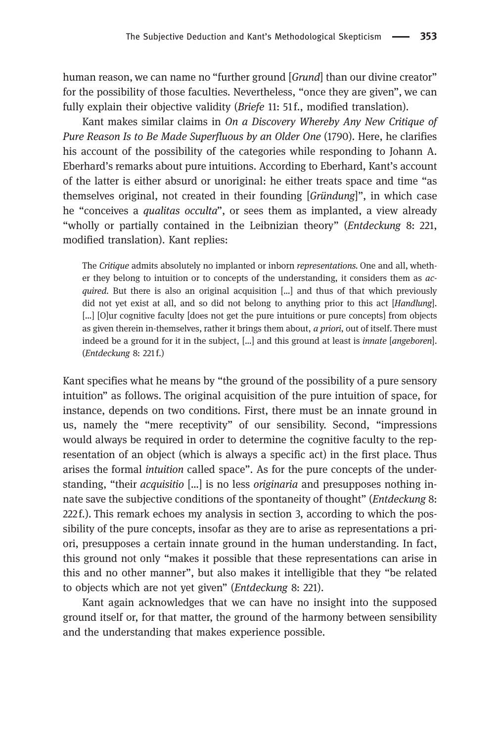human reason, we can name no "further ground [Grund] than our divine creator" for the possibility of those faculties. Nevertheless, "once they are given", we can fully explain their objective validity (Briefe 11: 51f., modified translation).

Kant makes similar claims in On a Discovery Whereby Any New Critique of Pure Reason Is to Be Made Superfluous by an Older One (1790). Here, he clarifies his account of the possibility of the categories while responding to Johann A. Eberhard's remarks about pure intuitions. According to Eberhard, Kant's account of the latter is either absurd or unoriginal: he either treats space and time "as themselves original, not created in their founding [Gründung]", in which case he "conceives a *qualitas occulta*", or sees them as implanted, a view already "wholly or partially contained in the Leibnizian theory" (Entdeckung 8: 221, modified translation). Kant replies:

The Critique admits absolutely no implanted or inborn representations. One and all, whether they belong to intuition or to concepts of the understanding, it considers them as acquired. But there is also an original acquisition [...] and thus of that which previously did not yet exist at all, and so did not belong to anything prior to this act [Handlung]. [...] [O]ur cognitive faculty [does not get the pure intuitions or pure concepts] from objects as given therein in-themselves, rather it brings them about, a priori, out of itself. There must indeed be a ground for it in the subject, [...] and this ground at least is *innate* [*angeboren*]. (Entdeckung 8: 221 f.)

Kant specifies what he means by "the ground of the possibility of a pure sensory intuition" as follows. The original acquisition of the pure intuition of space, for instance, depends on two conditions. First, there must be an innate ground in us, namely the "mere receptivity" of our sensibility. Second, "impressions would always be required in order to determine the cognitive faculty to the representation of an object (which is always a specific act) in the first place. Thus arises the formal intuition called space". As for the pure concepts of the understanding, "their *acquisitio* [...] is no less *originaria* and presupposes nothing innate save the subjective conditions of the spontaneity of thought" (Entdeckung 8: 222 f.). This remark echoes my analysis in section 3, according to which the possibility of the pure concepts, insofar as they are to arise as representations a priori, presupposes a certain innate ground in the human understanding. In fact, this ground not only "makes it possible that these representations can arise in this and no other manner", but also makes it intelligible that they "be related to objects which are not yet given" (Entdeckung 8: 221).

Kant again acknowledges that we can have no insight into the supposed ground itself or, for that matter, the ground of the harmony between sensibility and the understanding that makes experience possible.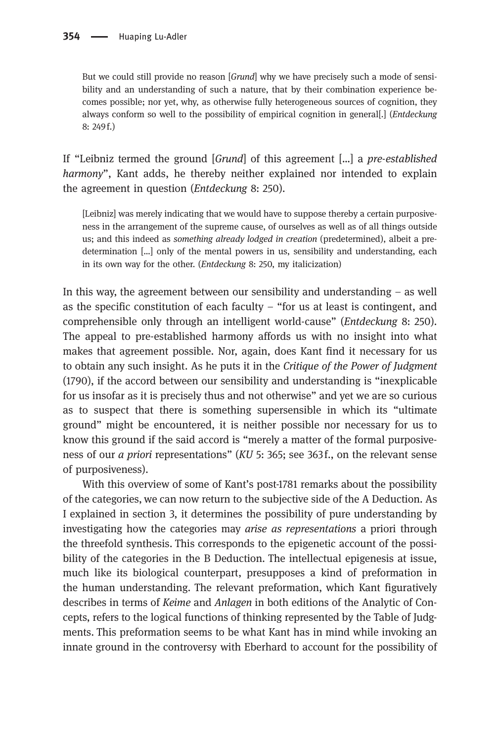But we could still provide no reason [Grund] why we have precisely such a mode of sensibility and an understanding of such a nature, that by their combination experience becomes possible; nor yet, why, as otherwise fully heterogeneous sources of cognition, they always conform so well to the possibility of empirical cognition in general[.] (Entdeckung 8: 249 f.)

If "Leibniz termed the ground [Grund] of this agreement […] a pre-established harmony", Kant adds, he thereby neither explained nor intended to explain the agreement in question (Entdeckung 8: 250).

[Leibniz] was merely indicating that we would have to suppose thereby a certain purposiveness in the arrangement of the supreme cause, of ourselves as well as of all things outside us; and this indeed as something already lodged in creation (predetermined), albeit a predetermination […] only of the mental powers in us, sensibility and understanding, each in its own way for the other. (Entdeckung 8: 250, my italicization)

In this way, the agreement between our sensibility and understanding  $-$  as well as the specific constitution of each faculty  $-$  "for us at least is contingent, and comprehensible only through an intelligent world-cause" (Entdeckung 8: 250). The appeal to pre-established harmony affords us with no insight into what makes that agreement possible. Nor, again, does Kant find it necessary for us to obtain any such insight. As he puts it in the Critique of the Power of Judgment (1790), if the accord between our sensibility and understanding is "inexplicable for us insofar as it is precisely thus and not otherwise" and yet we are so curious as to suspect that there is something supersensible in which its "ultimate ground" might be encountered, it is neither possible nor necessary for us to know this ground if the said accord is "merely a matter of the formal purposiveness of our a priori representations" (KU 5: 365; see 363f., on the relevant sense of purposiveness).

With this overview of some of Kant's post-1781 remarks about the possibility of the categories, we can now return to the subjective side of the A Deduction. As I explained in section 3, it determines the possibility of pure understanding by investigating how the categories may arise as representations a priori through the threefold synthesis. This corresponds to the epigenetic account of the possibility of the categories in the B Deduction. The intellectual epigenesis at issue, much like its biological counterpart, presupposes a kind of preformation in the human understanding. The relevant preformation, which Kant figuratively describes in terms of Keime and Anlagen in both editions of the Analytic of Concepts, refers to the logical functions of thinking represented by the Table of Judgments. This preformation seems to be what Kant has in mind while invoking an innate ground in the controversy with Eberhard to account for the possibility of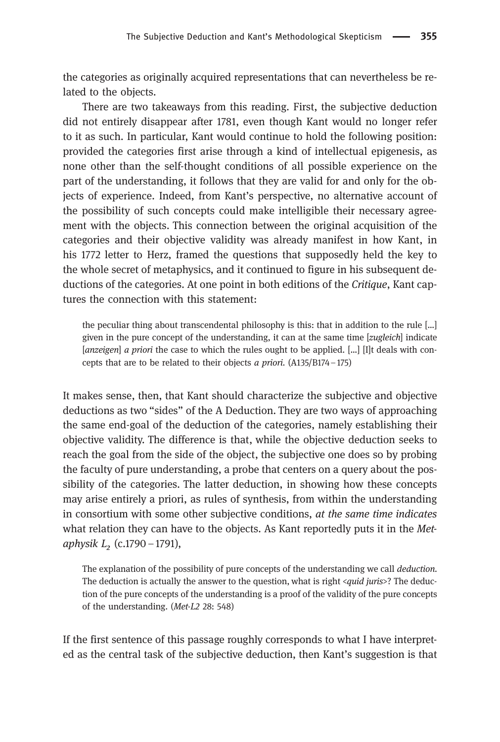the categories as originally acquired representations that can nevertheless be related to the objects.

There are two takeaways from this reading. First, the subjective deduction did not entirely disappear after 1781, even though Kant would no longer refer to it as such. In particular, Kant would continue to hold the following position: provided the categories first arise through a kind of intellectual epigenesis, as none other than the self-thought conditions of all possible experience on the part of the understanding, it follows that they are valid for and only for the objects of experience. Indeed, from Kant's perspective, no alternative account of the possibility of such concepts could make intelligible their necessary agreement with the objects. This connection between the original acquisition of the categories and their objective validity was already manifest in how Kant, in his 1772 letter to Herz, framed the questions that supposedly held the key to the whole secret of metaphysics, and it continued to figure in his subsequent deductions of the categories. At one point in both editions of the Critique, Kant captures the connection with this statement:

the peculiar thing about transcendental philosophy is this: that in addition to the rule […] given in the pure concept of the understanding, it can at the same time [zugleich] indicate [anzeigen] a priori the case to which the rules ought to be applied. [...] [I]t deals with concepts that are to be related to their objects a priori.  $(A135/B174-175)$ 

It makes sense, then, that Kant should characterize the subjective and objective deductions as two "sides" of the A Deduction. They are two ways of approaching the same end-goal of the deduction of the categories, namely establishing their objective validity. The difference is that, while the objective deduction seeks to reach the goal from the side of the object, the subjective one does so by probing the faculty of pure understanding, a probe that centers on a query about the possibility of the categories. The latter deduction, in showing how these concepts may arise entirely a priori, as rules of synthesis, from within the understanding in consortium with some other subjective conditions, at the same time indicates what relation they can have to the objects. As Kant reportedly puts it in the Metaphysik  $L_2$  (c.1790 – 1791),

The explanation of the possibility of pure concepts of the understanding we call deduction. The deduction is actually the answer to the question, what is right <quid juris>? The deduction of the pure concepts of the understanding is a proof of the validity of the pure concepts of the understanding. (Met-L2 28: 548)

If the first sentence of this passage roughly corresponds to what I have interpreted as the central task of the subjective deduction, then Kant's suggestion is that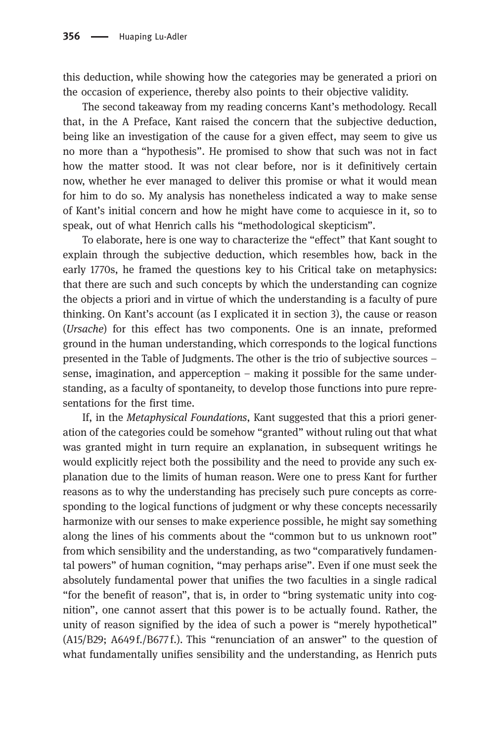this deduction, while showing how the categories may be generated a priori on the occasion of experience, thereby also points to their objective validity.

The second takeaway from my reading concerns Kant's methodology. Recall that, in the A Preface, Kant raised the concern that the subjective deduction, being like an investigation of the cause for a given effect, may seem to give us no more than a "hypothesis". He promised to show that such was not in fact how the matter stood. It was not clear before, nor is it definitively certain now, whether he ever managed to deliver this promise or what it would mean for him to do so. My analysis has nonetheless indicated a way to make sense of Kant's initial concern and how he might have come to acquiesce in it, so to speak, out of what Henrich calls his "methodological skepticism".

To elaborate, here is one way to characterize the "effect" that Kant sought to explain through the subjective deduction, which resembles how, back in the early 1770s, he framed the questions key to his Critical take on metaphysics: that there are such and such concepts by which the understanding can cognize the objects a priori and in virtue of which the understanding is a faculty of pure thinking. On Kant's account (as I explicated it in section 3), the cause or reason (Ursache) for this effect has two components. One is an innate, preformed ground in the human understanding, which corresponds to the logical functions presented in the Table of Judgments. The other is the trio of subjective sources – sense, imagination, and apperception – making it possible for the same understanding, as a faculty of spontaneity, to develop those functions into pure representations for the first time.

If, in the Metaphysical Foundations, Kant suggested that this a priori generation of the categories could be somehow "granted" without ruling out that what was granted might in turn require an explanation, in subsequent writings he would explicitly reject both the possibility and the need to provide any such explanation due to the limits of human reason. Were one to press Kant for further reasons as to why the understanding has precisely such pure concepts as corresponding to the logical functions of judgment or why these concepts necessarily harmonize with our senses to make experience possible, he might say something along the lines of his comments about the "common but to us unknown root" from which sensibility and the understanding, as two "comparatively fundamental powers" of human cognition, "may perhaps arise". Even if one must seek the absolutely fundamental power that unifies the two faculties in a single radical "for the benefit of reason", that is, in order to "bring systematic unity into cognition", one cannot assert that this power is to be actually found. Rather, the unity of reason signified by the idea of such a power is "merely hypothetical" (A15/B29; A649 f./B677 f.). This "renunciation of an answer" to the question of what fundamentally unifies sensibility and the understanding, as Henrich puts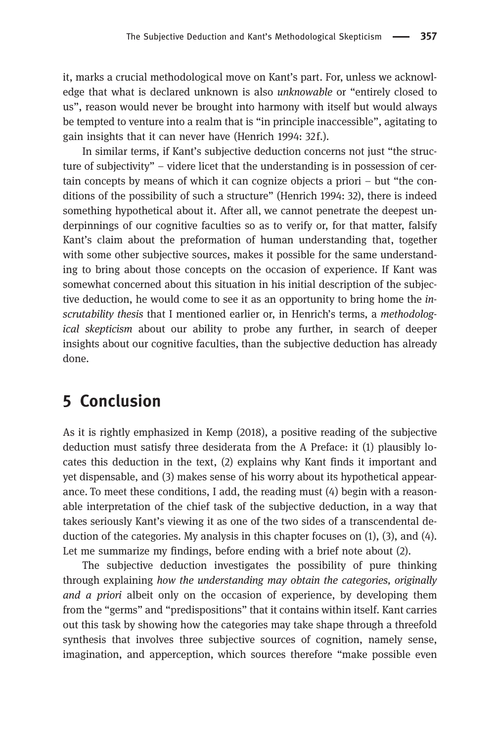it, marks a crucial methodological move on Kant's part. For, unless we acknowledge that what is declared unknown is also unknowable or "entirely closed to us", reason would never be brought into harmony with itself but would always be tempted to venture into a realm that is "in principle inaccessible", agitating to gain insights that it can never have (Henrich 1994: 32f.).

In similar terms, if Kant's subjective deduction concerns not just "the structure of subjectivity" – videre licet that the understanding is in possession of certain concepts by means of which it can cognize objects a priori – but "the conditions of the possibility of such a structure" (Henrich 1994: 32), there is indeed something hypothetical about it. After all, we cannot penetrate the deepest underpinnings of our cognitive faculties so as to verify or, for that matter, falsify Kant's claim about the preformation of human understanding that, together with some other subjective sources, makes it possible for the same understanding to bring about those concepts on the occasion of experience. If Kant was somewhat concerned about this situation in his initial description of the subjective deduction, he would come to see it as an opportunity to bring home the inscrutability thesis that I mentioned earlier or, in Henrich's terms, a *methodolog*ical skepticism about our ability to probe any further, in search of deeper insights about our cognitive faculties, than the subjective deduction has already done.

#### [5 Conclusion](#page-0-0)

As it is rightly emphasized in Kemp (2018), a positive reading of the subjective deduction must satisfy three desiderata from the A Preface: it (1) plausibly locates this deduction in the text, (2) explains why Kant finds it important and yet dispensable, and (3) makes sense of his worry about its hypothetical appearance. To meet these conditions, I add, the reading must (4) begin with a reasonable interpretation of the chief task of the subjective deduction, in a way that takes seriously Kant's viewing it as one of the two sides of a transcendental deduction of the categories. My analysis in this chapter focuses on (1), (3), and (4). Let me summarize my findings, before ending with a brief note about (2).

The subjective deduction investigates the possibility of pure thinking through explaining how the understanding may obtain the categories, originally and a priori albeit only on the occasion of experience, by developing them from the "germs" and "predispositions" that it contains within itself. Kant carries out this task by showing how the categories may take shape through a threefold synthesis that involves three subjective sources of cognition, namely sense, imagination, and apperception, which sources therefore "make possible even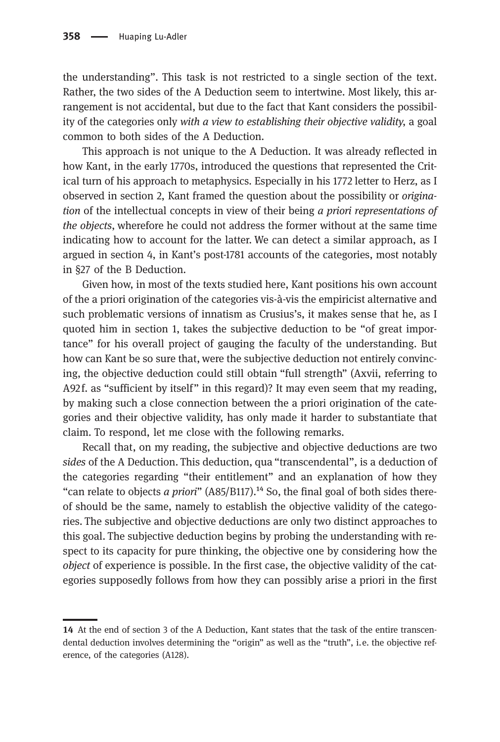the understanding". This task is not restricted to a single section of the text. Rather, the two sides of the A Deduction seem to intertwine. Most likely, this arrangement is not accidental, but due to the fact that Kant considers the possibility of the categories only with a view to establishing their objective validity, a goal common to both sides of the A Deduction.

This approach is not unique to the A Deduction. It was already reflected in how Kant, in the early 1770s, introduced the questions that represented the Critical turn of his approach to metaphysics. Especially in his 1772 letter to Herz, as I observed in section 2, Kant framed the question about the possibility or origination of the intellectual concepts in view of their being a priori representations of the objects, wherefore he could not address the former without at the same time indicating how to account for the latter. We can detect a similar approach, as I argued in section 4, in Kant's post-1781 accounts of the categories, most notably in §27 of the B Deduction.

Given how, in most of the texts studied here, Kant positions his own account of the a priori origination of the categories vis-à-vis the empiricist alternative and such problematic versions of innatism as Crusius's, it makes sense that he, as I quoted him in section 1, takes the subjective deduction to be "of great importance" for his overall project of gauging the faculty of the understanding. But how can Kant be so sure that, were the subjective deduction not entirely convincing, the objective deduction could still obtain "full strength" (Axvii, referring to A92f. as "sufficient by itself" in this regard)? It may even seem that my reading, by making such a close connection between the a priori origination of the categories and their objective validity, has only made it harder to substantiate that claim. To respond, let me close with the following remarks.

Recall that, on my reading, the subjective and objective deductions are two sides of the A Deduction. This deduction, qua "transcendental", is a deduction of the categories regarding "their entitlement" and an explanation of how they "can relate to objects a priori"  $(A85/B117)$ .<sup>14</sup> So, the final goal of both sides thereof should be the same, namely to establish the objective validity of the categories. The subjective and objective deductions are only two distinct approaches to this goal. The subjective deduction begins by probing the understanding with respect to its capacity for pure thinking, the objective one by considering how the object of experience is possible. In the first case, the objective validity of the categories supposedly follows from how they can possibly arise a priori in the first

<sup>14</sup> At the end of section 3 of the A Deduction, Kant states that the task of the entire transcendental deduction involves determining the "origin" as well as the "truth", i.e. the objective reference, of the categories (A128).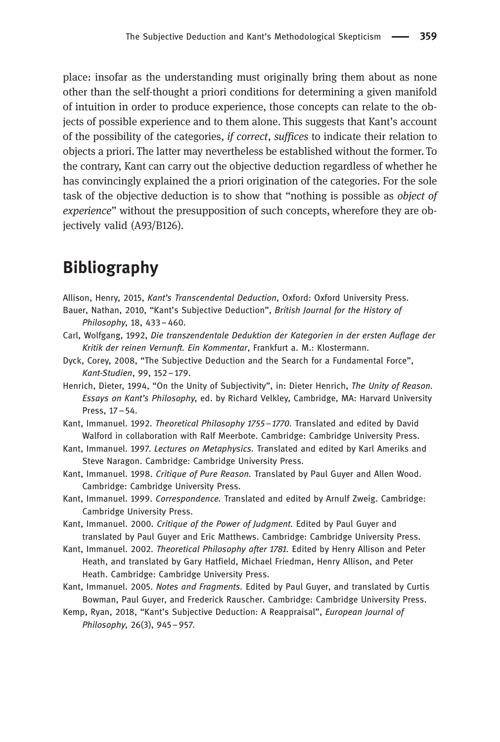place: insofar as the understanding must originally bring them about as none other than the self-thought a priori conditions for determining a given manifold of intuition in order to produce experience, those concepts can relate to the objects of possible experience and to them alone. This suggests that Kant's account of the possibility of the categories, if correct, suffices to indicate their relation to objects a priori. The latter may nevertheless be established without the former. To the contrary, Kant can carry out the objective deduction regardless of whether he has convincingly explained the a priori origination of the categories. For the sole task of the objective deduction is to show that "nothing is possible as object of experience" without the presupposition of such concepts, wherefore they are objectively valid (A93/B126).

#### [Bibliography](#page-0-0)

- Allison, Henry, 2015, Kant's Transcendental Deduction, Oxford: Oxford University Press.
- Bauer, Nathan, 2010, "Kant's Subjective Deduction", British Journal for the History of Philosophy, 18, 433–460.
- Carl, Wolfgang, 1992, Die transzendentale Deduktion der Kategorien in der ersten Auflage der Kritik der reinen Vernunft. Ein Kommentar, Frankfurt a. M.: Klostermann.
- Dyck, Corey, 2008, "The Subjective Deduction and the Search for a Fundamental Force", Kant-Studien, 99, 152–179.
- Henrich, Dieter, 1994, "On the Unity of Subjectivity", in: Dieter Henrich, The Unity of Reason. Essays on Kant's Philosophy, ed. by Richard Velkley, Cambridge, MA: Harvard University Press, 17–54.
- Kant, Immanuel. 1992. Theoretical Philosophy 1755 1770. Translated and edited by David Walford in collaboration with Ralf Meerbote. Cambridge: Cambridge University Press.
- Kant, Immanuel. 1997. Lectures on Metaphysics. Translated and edited by Karl Ameriks and Steve Naragon. Cambridge: Cambridge University Press.
- Kant, Immanuel. 1998. Critique of Pure Reason. Translated by Paul Guyer and Allen Wood. Cambridge: Cambridge University Press.
- Kant, Immanuel. 1999. Correspondence. Translated and edited by Arnulf Zweig. Cambridge: Cambridge University Press.
- Kant, Immanuel. 2000. Critique of the Power of Judament. Edited by Paul Guyer and translated by Paul Guyer and Eric Matthews. Cambridge: Cambridge University Press.
- Kant, Immanuel. 2002. Theoretical Philosophy after 1781. Edited by Henry Allison and Peter Heath, and translated by Gary Hatfield, Michael Friedman, Henry Allison, and Peter Heath. Cambridge: Cambridge University Press.
- Kant, Immanuel. 2005. Notes and Fragments. Edited by Paul Guyer, and translated by Curtis Bowman, Paul Guyer, and Frederick Rauscher. Cambridge: Cambridge University Press.
- Kemp, Ryan, 2018, "Kant's Subjective Deduction: A Reappraisal", European Journal of Philosophy, 26(3), 945–957.